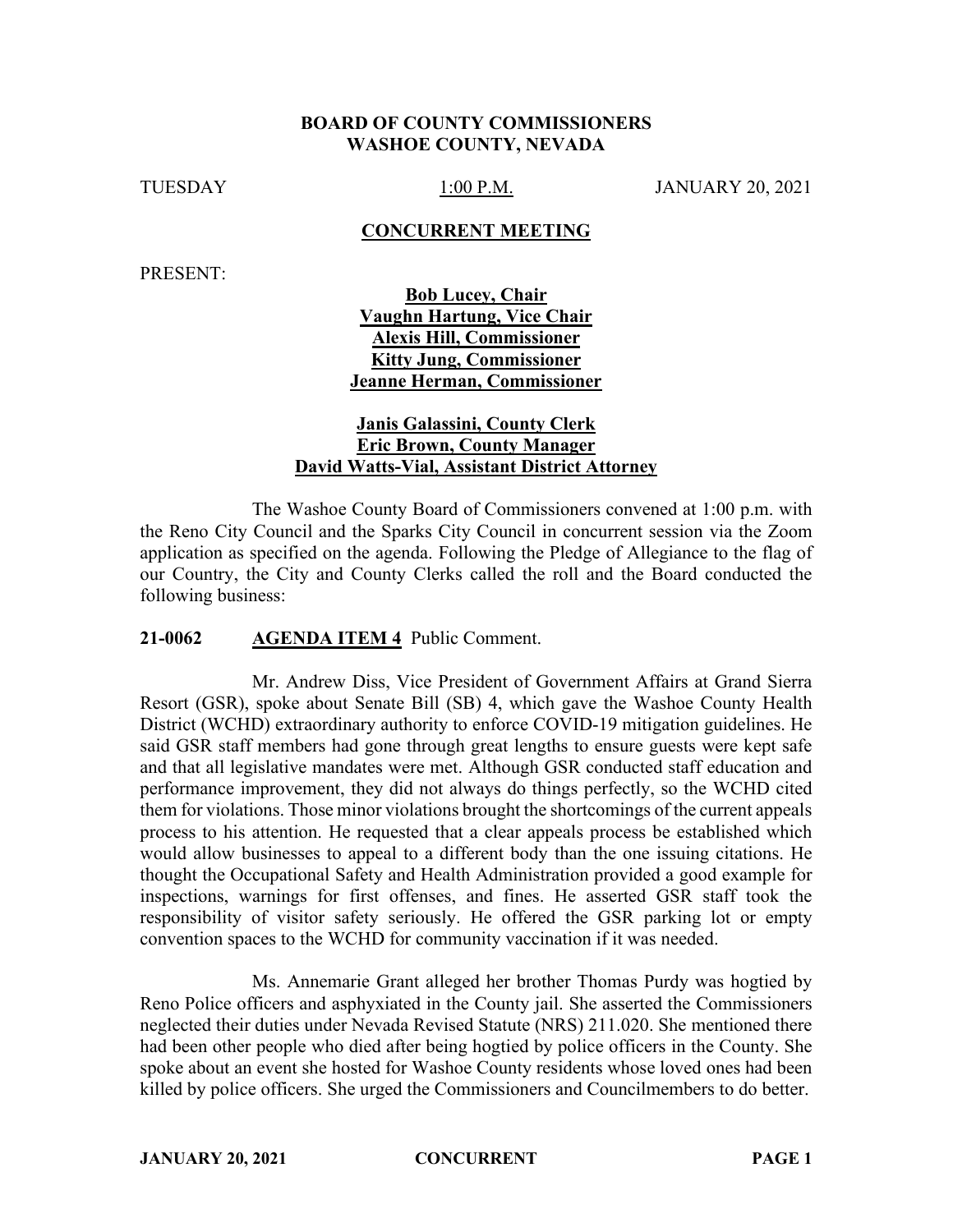### **BOARD OF COUNTY COMMISSIONERS WASHOE COUNTY, NEVADA**

TUESDAY 1:00 P.M. JANUARY 20, 2021

#### **CONCURRENT MEETING**

PRESENT:

**Bob Lucey, Chair Vaughn Hartung, Vice Chair Alexis Hill, Commissioner Kitty Jung, Commissioner Jeanne Herman, Commissioner** 

### **Janis Galassini, County Clerk Eric Brown, County Manager David Watts-Vial, Assistant District Attorney**

The Washoe County Board of Commissioners convened at 1:00 p.m. with the Reno City Council and the Sparks City Council in concurrent session via the Zoom application as specified on the agenda. Following the Pledge of Allegiance to the flag of our Country, the City and County Clerks called the roll and the Board conducted the following business:

#### **21-0062 AGENDA ITEM 4** Public Comment.

Mr. Andrew Diss, Vice President of Government Affairs at Grand Sierra Resort (GSR), spoke about Senate Bill (SB) 4, which gave the Washoe County Health District (WCHD) extraordinary authority to enforce COVID-19 mitigation guidelines. He said GSR staff members had gone through great lengths to ensure guests were kept safe and that all legislative mandates were met. Although GSR conducted staff education and performance improvement, they did not always do things perfectly, so the WCHD cited them for violations. Those minor violations brought the shortcomings of the current appeals process to his attention. He requested that a clear appeals process be established which would allow businesses to appeal to a different body than the one issuing citations. He thought the Occupational Safety and Health Administration provided a good example for inspections, warnings for first offenses, and fines. He asserted GSR staff took the responsibility of visitor safety seriously. He offered the GSR parking lot or empty convention spaces to the WCHD for community vaccination if it was needed.

Ms. Annemarie Grant alleged her brother Thomas Purdy was hogtied by Reno Police officers and asphyxiated in the County jail. She asserted the Commissioners neglected their duties under Nevada Revised Statute (NRS) 211.020. She mentioned there had been other people who died after being hogtied by police officers in the County. She spoke about an event she hosted for Washoe County residents whose loved ones had been killed by police officers. She urged the Commissioners and Councilmembers to do better.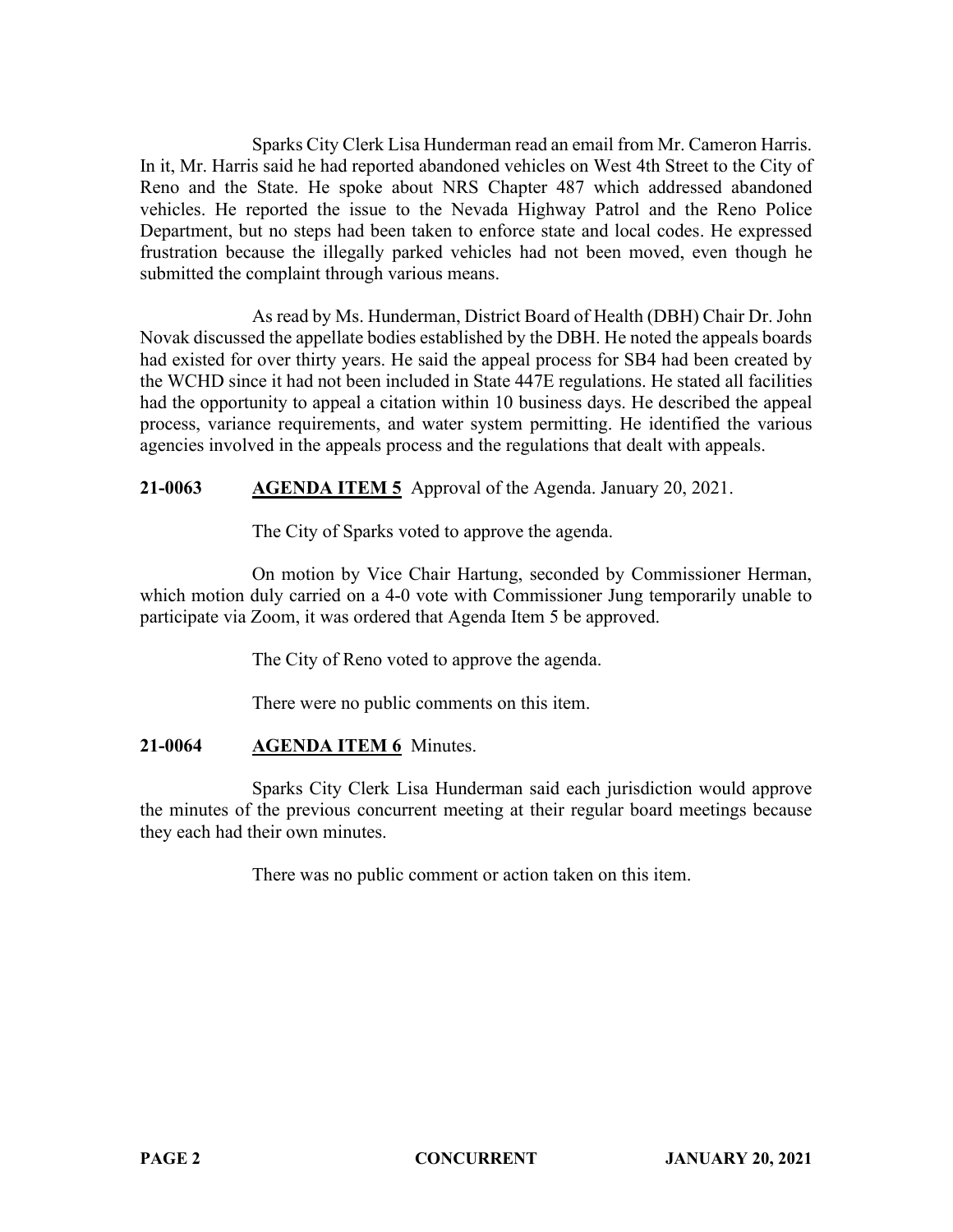Sparks City Clerk Lisa Hunderman read an email from Mr. Cameron Harris. In it, Mr. Harris said he had reported abandoned vehicles on West 4th Street to the City of Reno and the State. He spoke about NRS Chapter 487 which addressed abandoned vehicles. He reported the issue to the Nevada Highway Patrol and the Reno Police Department, but no steps had been taken to enforce state and local codes. He expressed frustration because the illegally parked vehicles had not been moved, even though he submitted the complaint through various means.

As read by Ms. Hunderman, District Board of Health (DBH) Chair Dr. John Novak discussed the appellate bodies established by the DBH. He noted the appeals boards had existed for over thirty years. He said the appeal process for SB4 had been created by the WCHD since it had not been included in State 447E regulations. He stated all facilities had the opportunity to appeal a citation within 10 business days. He described the appeal process, variance requirements, and water system permitting. He identified the various agencies involved in the appeals process and the regulations that dealt with appeals.

# **21-0063 AGENDA ITEM 5** Approval of the Agenda. January 20, 2021.

The City of Sparks voted to approve the agenda.

On motion by Vice Chair Hartung, seconded by Commissioner Herman, which motion duly carried on a 4-0 vote with Commissioner Jung temporarily unable to participate via Zoom, it was ordered that Agenda Item 5 be approved.

The City of Reno voted to approve the agenda.

There were no public comments on this item.

# **21-0064 AGENDA ITEM 6** Minutes.

Sparks City Clerk Lisa Hunderman said each jurisdiction would approve the minutes of the previous concurrent meeting at their regular board meetings because they each had their own minutes.

There was no public comment or action taken on this item.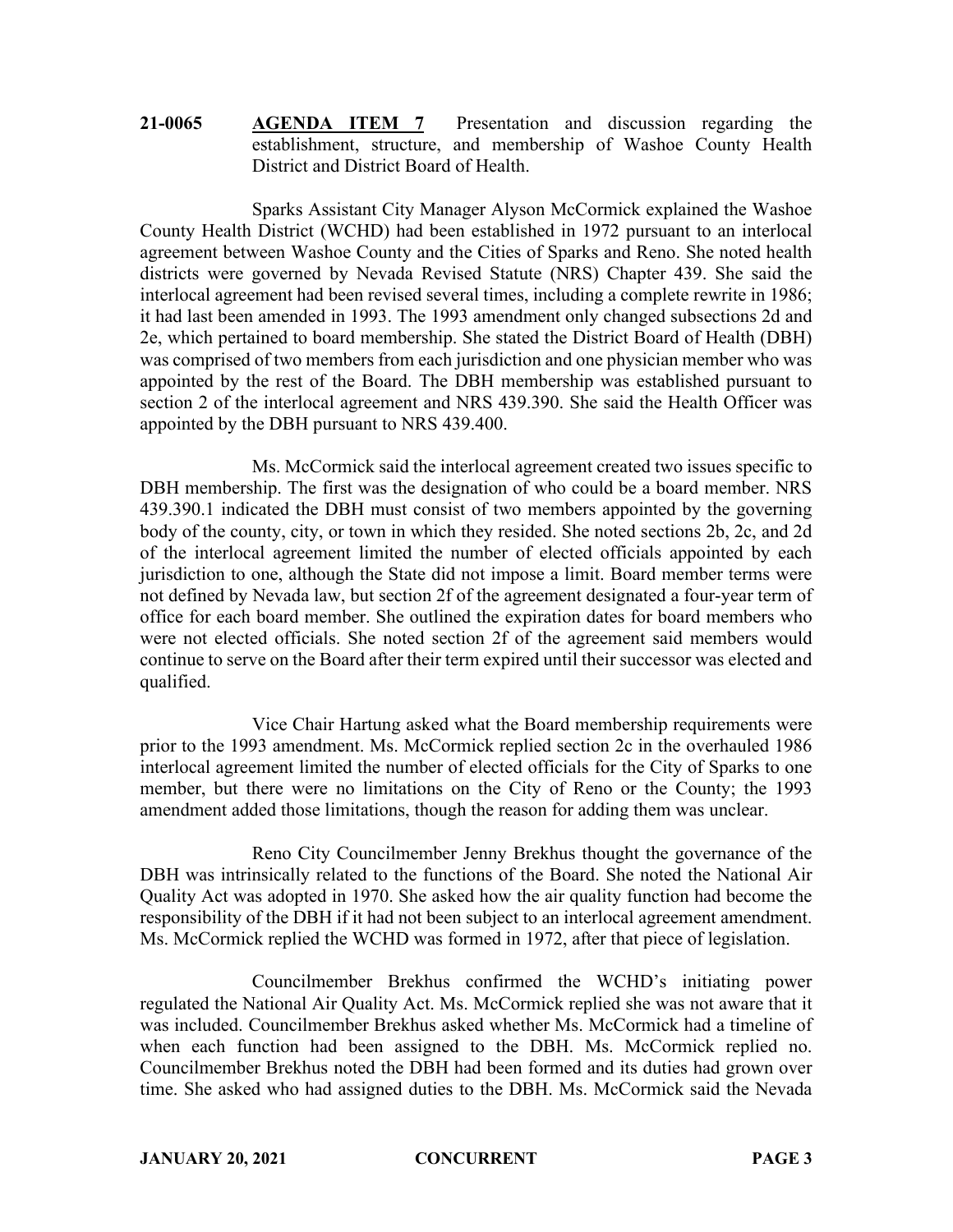# **21-0065 AGENDA ITEM 7** Presentation and discussion regarding the establishment, structure, and membership of Washoe County Health District and District Board of Health.

Sparks Assistant City Manager Alyson McCormick explained the Washoe County Health District (WCHD) had been established in 1972 pursuant to an interlocal agreement between Washoe County and the Cities of Sparks and Reno. She noted health districts were governed by Nevada Revised Statute (NRS) Chapter 439. She said the interlocal agreement had been revised several times, including a complete rewrite in 1986; it had last been amended in 1993. The 1993 amendment only changed subsections 2d and 2e, which pertained to board membership. She stated the District Board of Health (DBH) was comprised of two members from each jurisdiction and one physician member who was appointed by the rest of the Board. The DBH membership was established pursuant to section 2 of the interlocal agreement and NRS 439.390. She said the Health Officer was appointed by the DBH pursuant to NRS 439.400.

Ms. McCormick said the interlocal agreement created two issues specific to DBH membership. The first was the designation of who could be a board member. NRS 439.390.1 indicated the DBH must consist of two members appointed by the governing body of the county, city, or town in which they resided. She noted sections 2b, 2c, and 2d of the interlocal agreement limited the number of elected officials appointed by each jurisdiction to one, although the State did not impose a limit. Board member terms were not defined by Nevada law, but section 2f of the agreement designated a four-year term of office for each board member. She outlined the expiration dates for board members who were not elected officials. She noted section 2f of the agreement said members would continue to serve on the Board after their term expired until their successor was elected and qualified.

Vice Chair Hartung asked what the Board membership requirements were prior to the 1993 amendment. Ms. McCormick replied section 2c in the overhauled 1986 interlocal agreement limited the number of elected officials for the City of Sparks to one member, but there were no limitations on the City of Reno or the County; the 1993 amendment added those limitations, though the reason for adding them was unclear.

Reno City Councilmember Jenny Brekhus thought the governance of the DBH was intrinsically related to the functions of the Board. She noted the National Air Quality Act was adopted in 1970. She asked how the air quality function had become the responsibility of the DBH if it had not been subject to an interlocal agreement amendment. Ms. McCormick replied the WCHD was formed in 1972, after that piece of legislation.

Councilmember Brekhus confirmed the WCHD's initiating power regulated the National Air Quality Act. Ms. McCormick replied she was not aware that it was included. Councilmember Brekhus asked whether Ms. McCormick had a timeline of when each function had been assigned to the DBH. Ms. McCormick replied no. Councilmember Brekhus noted the DBH had been formed and its duties had grown over time. She asked who had assigned duties to the DBH. Ms. McCormick said the Nevada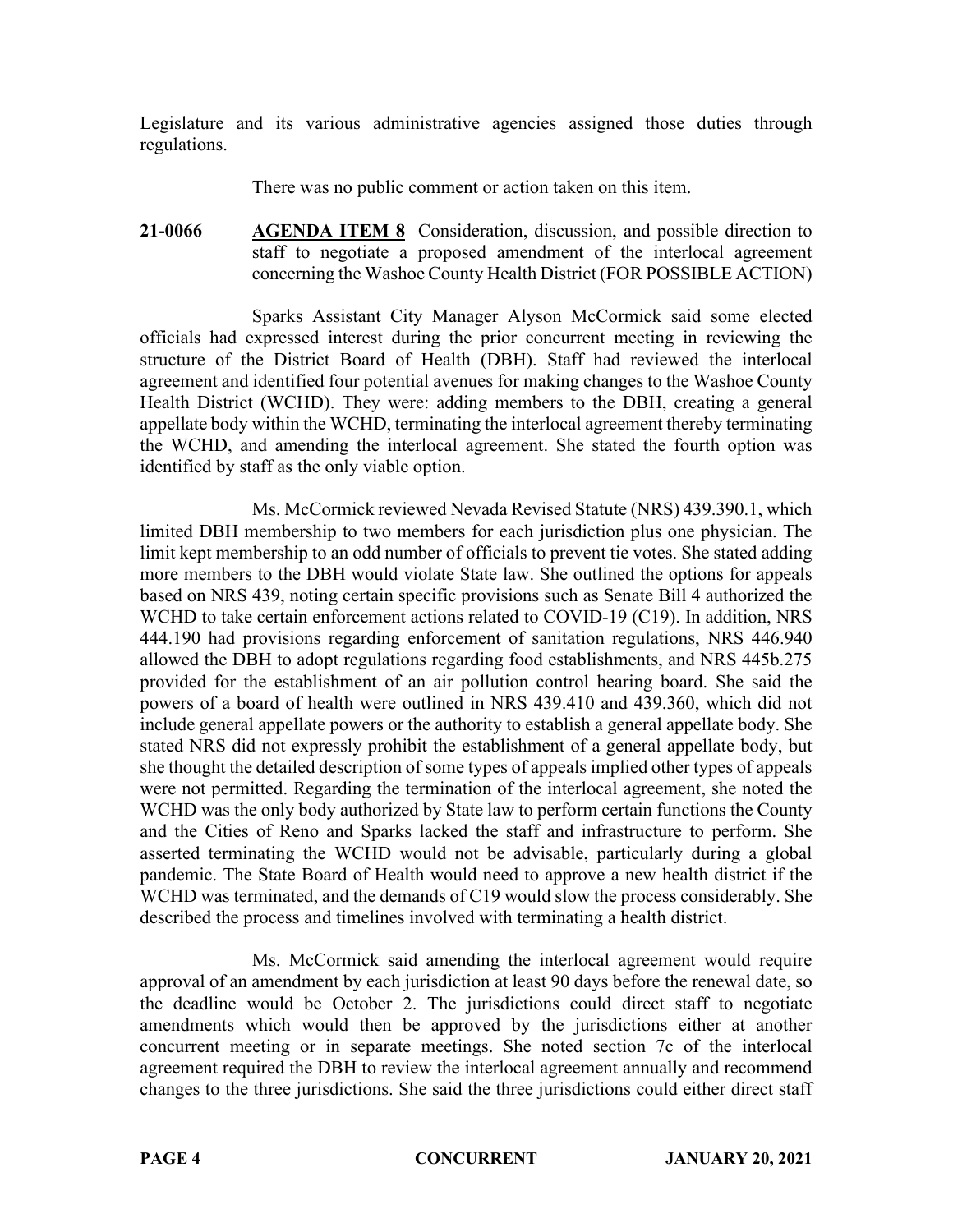Legislature and its various administrative agencies assigned those duties through regulations.

There was no public comment or action taken on this item.

**21-0066 AGENDA ITEM 8** Consideration, discussion, and possible direction to staff to negotiate a proposed amendment of the interlocal agreement concerning the Washoe County Health District (FOR POSSIBLE ACTION)

Sparks Assistant City Manager Alyson McCormick said some elected officials had expressed interest during the prior concurrent meeting in reviewing the structure of the District Board of Health (DBH). Staff had reviewed the interlocal agreement and identified four potential avenues for making changes to the Washoe County Health District (WCHD). They were: adding members to the DBH, creating a general appellate body within the WCHD, terminating the interlocal agreement thereby terminating the WCHD, and amending the interlocal agreement. She stated the fourth option was identified by staff as the only viable option.

Ms. McCormick reviewed Nevada Revised Statute (NRS) 439.390.1, which limited DBH membership to two members for each jurisdiction plus one physician. The limit kept membership to an odd number of officials to prevent tie votes. She stated adding more members to the DBH would violate State law. She outlined the options for appeals based on NRS 439, noting certain specific provisions such as Senate Bill 4 authorized the WCHD to take certain enforcement actions related to COVID-19 (C19). In addition, NRS 444.190 had provisions regarding enforcement of sanitation regulations, NRS 446.940 allowed the DBH to adopt regulations regarding food establishments, and NRS 445b.275 provided for the establishment of an air pollution control hearing board. She said the powers of a board of health were outlined in NRS 439.410 and 439.360, which did not include general appellate powers or the authority to establish a general appellate body. She stated NRS did not expressly prohibit the establishment of a general appellate body, but she thought the detailed description of some types of appeals implied other types of appeals were not permitted. Regarding the termination of the interlocal agreement, she noted the WCHD was the only body authorized by State law to perform certain functions the County and the Cities of Reno and Sparks lacked the staff and infrastructure to perform. She asserted terminating the WCHD would not be advisable, particularly during a global pandemic. The State Board of Health would need to approve a new health district if the WCHD was terminated, and the demands of C19 would slow the process considerably. She described the process and timelines involved with terminating a health district.

Ms. McCormick said amending the interlocal agreement would require approval of an amendment by each jurisdiction at least 90 days before the renewal date, so the deadline would be October 2. The jurisdictions could direct staff to negotiate amendments which would then be approved by the jurisdictions either at another concurrent meeting or in separate meetings. She noted section 7c of the interlocal agreement required the DBH to review the interlocal agreement annually and recommend changes to the three jurisdictions. She said the three jurisdictions could either direct staff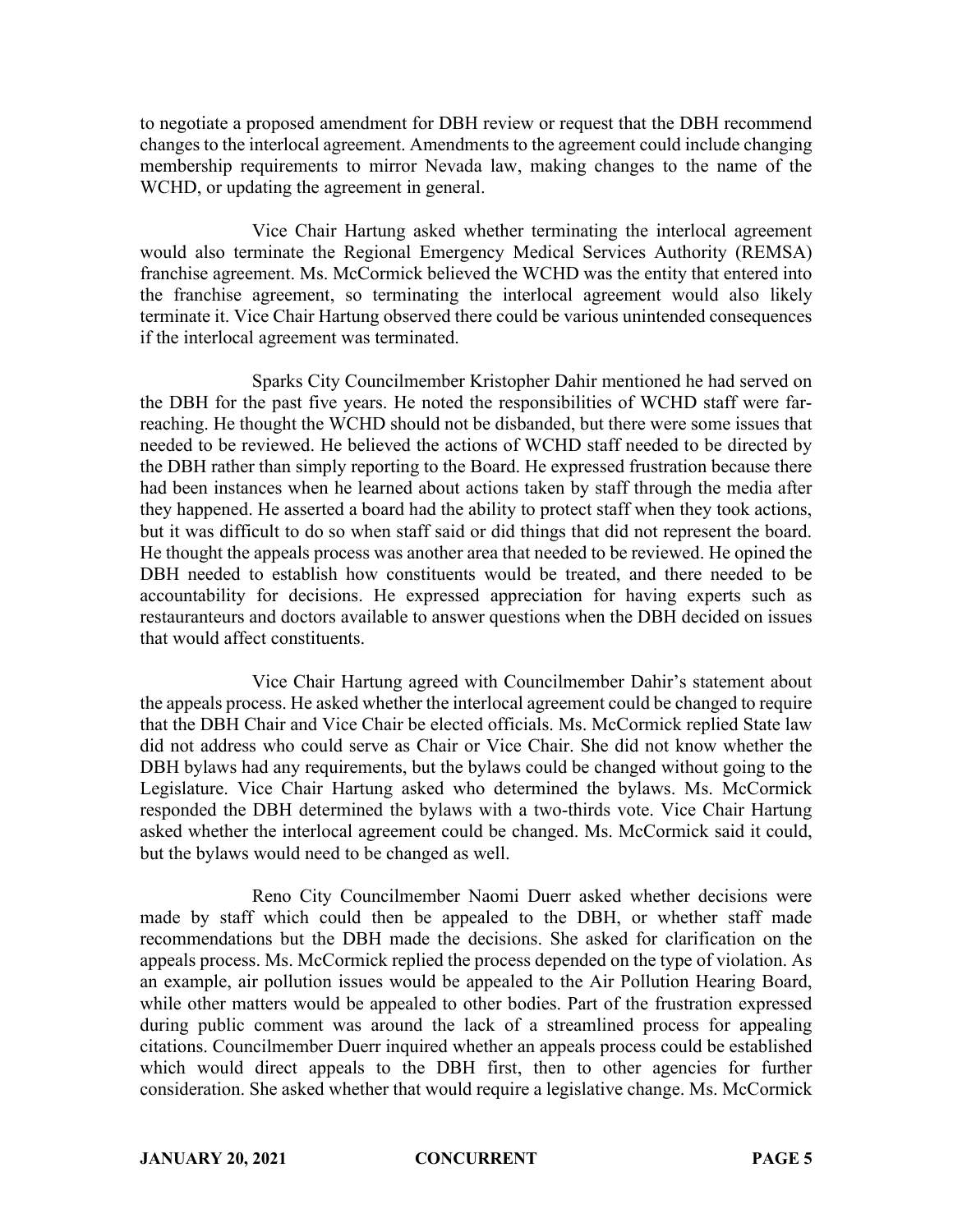to negotiate a proposed amendment for DBH review or request that the DBH recommend changes to the interlocal agreement. Amendments to the agreement could include changing membership requirements to mirror Nevada law, making changes to the name of the WCHD, or updating the agreement in general.

Vice Chair Hartung asked whether terminating the interlocal agreement would also terminate the Regional Emergency Medical Services Authority (REMSA) franchise agreement. Ms. McCormick believed the WCHD was the entity that entered into the franchise agreement, so terminating the interlocal agreement would also likely terminate it. Vice Chair Hartung observed there could be various unintended consequences if the interlocal agreement was terminated.

Sparks City Councilmember Kristopher Dahir mentioned he had served on the DBH for the past five years. He noted the responsibilities of WCHD staff were farreaching. He thought the WCHD should not be disbanded, but there were some issues that needed to be reviewed. He believed the actions of WCHD staff needed to be directed by the DBH rather than simply reporting to the Board. He expressed frustration because there had been instances when he learned about actions taken by staff through the media after they happened. He asserted a board had the ability to protect staff when they took actions, but it was difficult to do so when staff said or did things that did not represent the board. He thought the appeals process was another area that needed to be reviewed. He opined the DBH needed to establish how constituents would be treated, and there needed to be accountability for decisions. He expressed appreciation for having experts such as restauranteurs and doctors available to answer questions when the DBH decided on issues that would affect constituents.

Vice Chair Hartung agreed with Councilmember Dahir's statement about the appeals process. He asked whether the interlocal agreement could be changed to require that the DBH Chair and Vice Chair be elected officials. Ms. McCormick replied State law did not address who could serve as Chair or Vice Chair. She did not know whether the DBH bylaws had any requirements, but the bylaws could be changed without going to the Legislature. Vice Chair Hartung asked who determined the bylaws. Ms. McCormick responded the DBH determined the bylaws with a two-thirds vote. Vice Chair Hartung asked whether the interlocal agreement could be changed. Ms. McCormick said it could, but the bylaws would need to be changed as well.

Reno City Councilmember Naomi Duerr asked whether decisions were made by staff which could then be appealed to the DBH, or whether staff made recommendations but the DBH made the decisions. She asked for clarification on the appeals process. Ms. McCormick replied the process depended on the type of violation. As an example, air pollution issues would be appealed to the Air Pollution Hearing Board, while other matters would be appealed to other bodies. Part of the frustration expressed during public comment was around the lack of a streamlined process for appealing citations. Councilmember Duerr inquired whether an appeals process could be established which would direct appeals to the DBH first, then to other agencies for further consideration. She asked whether that would require a legislative change. Ms. McCormick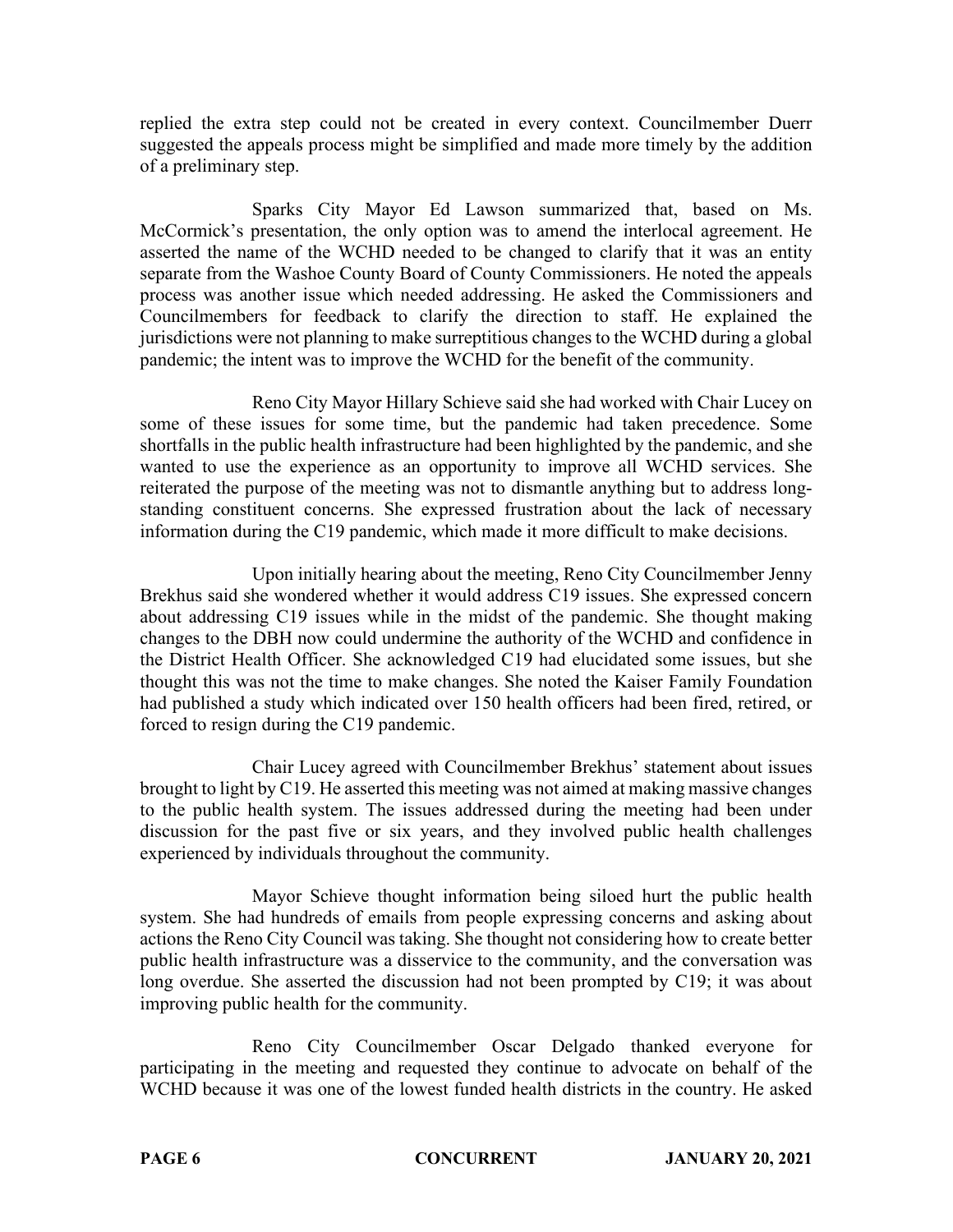replied the extra step could not be created in every context. Councilmember Duerr suggested the appeals process might be simplified and made more timely by the addition of a preliminary step.

Sparks City Mayor Ed Lawson summarized that, based on Ms. McCormick's presentation, the only option was to amend the interlocal agreement. He asserted the name of the WCHD needed to be changed to clarify that it was an entity separate from the Washoe County Board of County Commissioners. He noted the appeals process was another issue which needed addressing. He asked the Commissioners and Councilmembers for feedback to clarify the direction to staff. He explained the jurisdictions were not planning to make surreptitious changes to the WCHD during a global pandemic; the intent was to improve the WCHD for the benefit of the community.

Reno City Mayor Hillary Schieve said she had worked with Chair Lucey on some of these issues for some time, but the pandemic had taken precedence. Some shortfalls in the public health infrastructure had been highlighted by the pandemic, and she wanted to use the experience as an opportunity to improve all WCHD services. She reiterated the purpose of the meeting was not to dismantle anything but to address longstanding constituent concerns. She expressed frustration about the lack of necessary information during the C19 pandemic, which made it more difficult to make decisions.

Upon initially hearing about the meeting, Reno City Councilmember Jenny Brekhus said she wondered whether it would address C19 issues. She expressed concern about addressing C19 issues while in the midst of the pandemic. She thought making changes to the DBH now could undermine the authority of the WCHD and confidence in the District Health Officer. She acknowledged C19 had elucidated some issues, but she thought this was not the time to make changes. She noted the Kaiser Family Foundation had published a study which indicated over 150 health officers had been fired, retired, or forced to resign during the C19 pandemic.

Chair Lucey agreed with Councilmember Brekhus' statement about issues brought to light by C19. He asserted this meeting was not aimed at making massive changes to the public health system. The issues addressed during the meeting had been under discussion for the past five or six years, and they involved public health challenges experienced by individuals throughout the community.

Mayor Schieve thought information being siloed hurt the public health system. She had hundreds of emails from people expressing concerns and asking about actions the Reno City Council was taking. She thought not considering how to create better public health infrastructure was a disservice to the community, and the conversation was long overdue. She asserted the discussion had not been prompted by C19; it was about improving public health for the community.

Reno City Councilmember Oscar Delgado thanked everyone for participating in the meeting and requested they continue to advocate on behalf of the WCHD because it was one of the lowest funded health districts in the country. He asked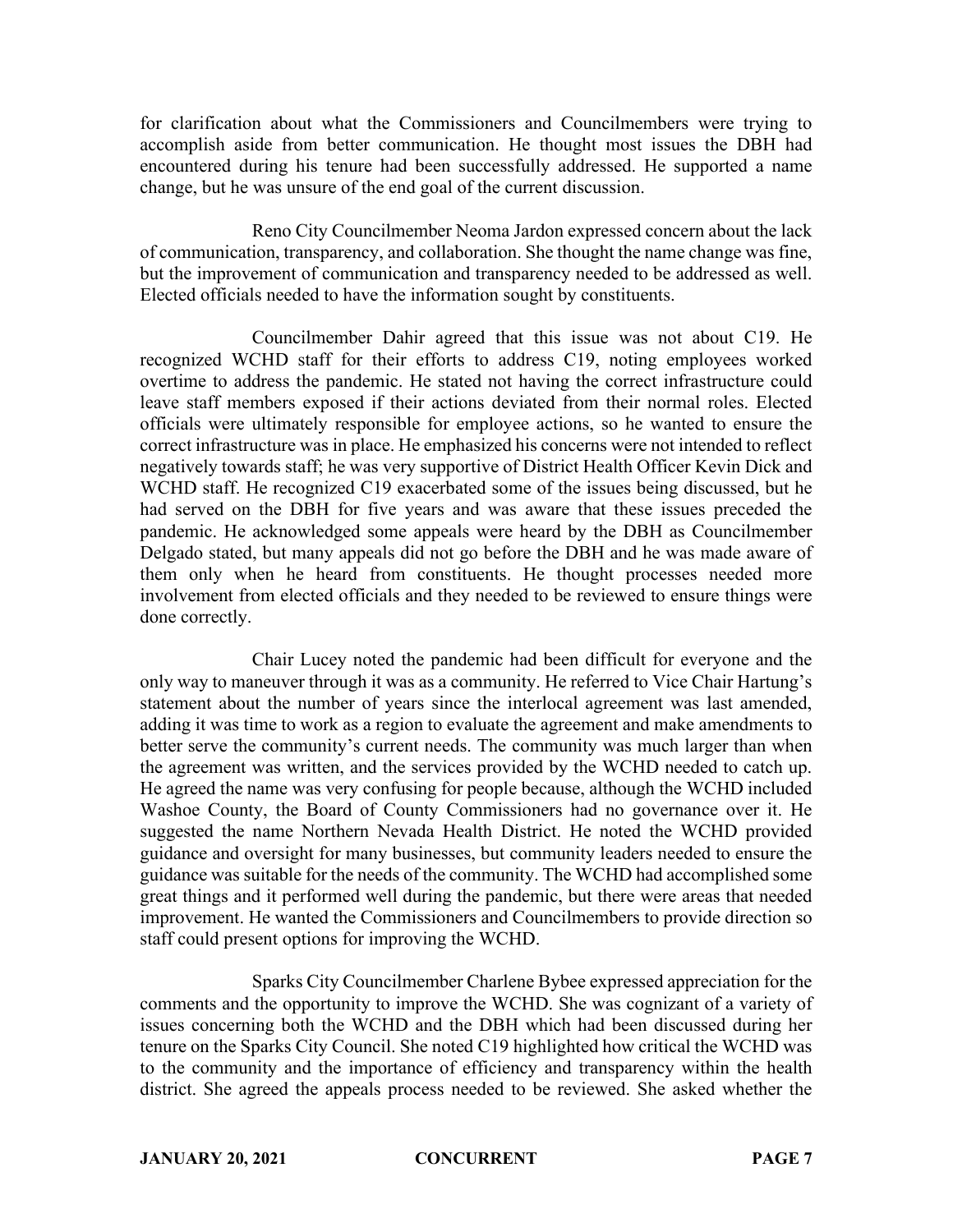for clarification about what the Commissioners and Councilmembers were trying to accomplish aside from better communication. He thought most issues the DBH had encountered during his tenure had been successfully addressed. He supported a name change, but he was unsure of the end goal of the current discussion.

Reno City Councilmember Neoma Jardon expressed concern about the lack of communication, transparency, and collaboration. She thought the name change was fine, but the improvement of communication and transparency needed to be addressed as well. Elected officials needed to have the information sought by constituents.

Councilmember Dahir agreed that this issue was not about C19. He recognized WCHD staff for their efforts to address C19, noting employees worked overtime to address the pandemic. He stated not having the correct infrastructure could leave staff members exposed if their actions deviated from their normal roles. Elected officials were ultimately responsible for employee actions, so he wanted to ensure the correct infrastructure was in place. He emphasized his concerns were not intended to reflect negatively towards staff; he was very supportive of District Health Officer Kevin Dick and WCHD staff. He recognized C19 exacerbated some of the issues being discussed, but he had served on the DBH for five years and was aware that these issues preceded the pandemic. He acknowledged some appeals were heard by the DBH as Councilmember Delgado stated, but many appeals did not go before the DBH and he was made aware of them only when he heard from constituents. He thought processes needed more involvement from elected officials and they needed to be reviewed to ensure things were done correctly.

Chair Lucey noted the pandemic had been difficult for everyone and the only way to maneuver through it was as a community. He referred to Vice Chair Hartung's statement about the number of years since the interlocal agreement was last amended, adding it was time to work as a region to evaluate the agreement and make amendments to better serve the community's current needs. The community was much larger than when the agreement was written, and the services provided by the WCHD needed to catch up. He agreed the name was very confusing for people because, although the WCHD included Washoe County, the Board of County Commissioners had no governance over it. He suggested the name Northern Nevada Health District. He noted the WCHD provided guidance and oversight for many businesses, but community leaders needed to ensure the guidance was suitable for the needs of the community. The WCHD had accomplished some great things and it performed well during the pandemic, but there were areas that needed improvement. He wanted the Commissioners and Councilmembers to provide direction so staff could present options for improving the WCHD.

Sparks City Councilmember Charlene Bybee expressed appreciation for the comments and the opportunity to improve the WCHD. She was cognizant of a variety of issues concerning both the WCHD and the DBH which had been discussed during her tenure on the Sparks City Council. She noted C19 highlighted how critical the WCHD was to the community and the importance of efficiency and transparency within the health district. She agreed the appeals process needed to be reviewed. She asked whether the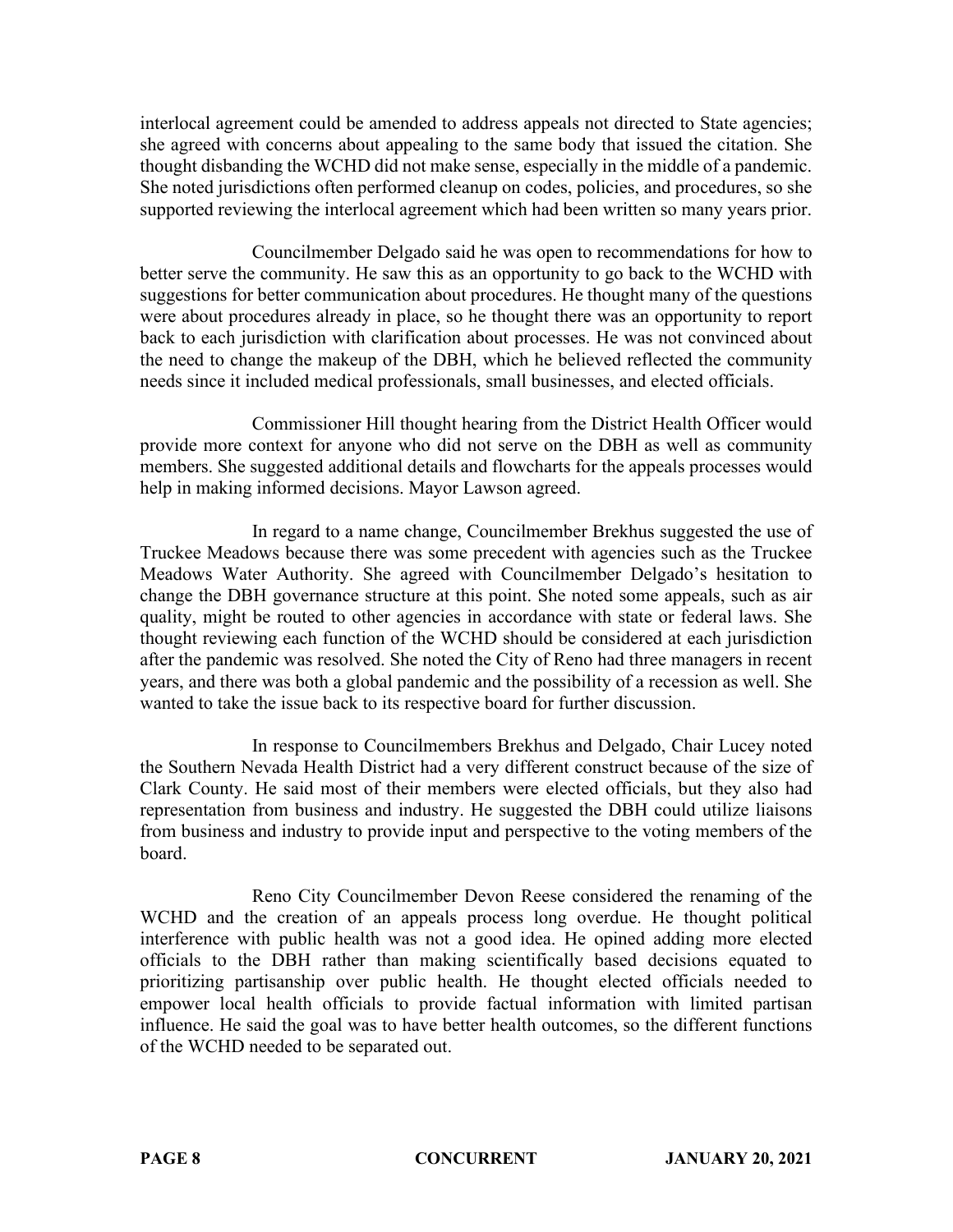interlocal agreement could be amended to address appeals not directed to State agencies; she agreed with concerns about appealing to the same body that issued the citation. She thought disbanding the WCHD did not make sense, especially in the middle of a pandemic. She noted jurisdictions often performed cleanup on codes, policies, and procedures, so she supported reviewing the interlocal agreement which had been written so many years prior.

Councilmember Delgado said he was open to recommendations for how to better serve the community. He saw this as an opportunity to go back to the WCHD with suggestions for better communication about procedures. He thought many of the questions were about procedures already in place, so he thought there was an opportunity to report back to each jurisdiction with clarification about processes. He was not convinced about the need to change the makeup of the DBH, which he believed reflected the community needs since it included medical professionals, small businesses, and elected officials.

Commissioner Hill thought hearing from the District Health Officer would provide more context for anyone who did not serve on the DBH as well as community members. She suggested additional details and flowcharts for the appeals processes would help in making informed decisions. Mayor Lawson agreed.

In regard to a name change, Councilmember Brekhus suggested the use of Truckee Meadows because there was some precedent with agencies such as the Truckee Meadows Water Authority. She agreed with Councilmember Delgado's hesitation to change the DBH governance structure at this point. She noted some appeals, such as air quality, might be routed to other agencies in accordance with state or federal laws. She thought reviewing each function of the WCHD should be considered at each jurisdiction after the pandemic was resolved. She noted the City of Reno had three managers in recent years, and there was both a global pandemic and the possibility of a recession as well. She wanted to take the issue back to its respective board for further discussion.

In response to Councilmembers Brekhus and Delgado, Chair Lucey noted the Southern Nevada Health District had a very different construct because of the size of Clark County. He said most of their members were elected officials, but they also had representation from business and industry. He suggested the DBH could utilize liaisons from business and industry to provide input and perspective to the voting members of the board.

Reno City Councilmember Devon Reese considered the renaming of the WCHD and the creation of an appeals process long overdue. He thought political interference with public health was not a good idea. He opined adding more elected officials to the DBH rather than making scientifically based decisions equated to prioritizing partisanship over public health. He thought elected officials needed to empower local health officials to provide factual information with limited partisan influence. He said the goal was to have better health outcomes, so the different functions of the WCHD needed to be separated out.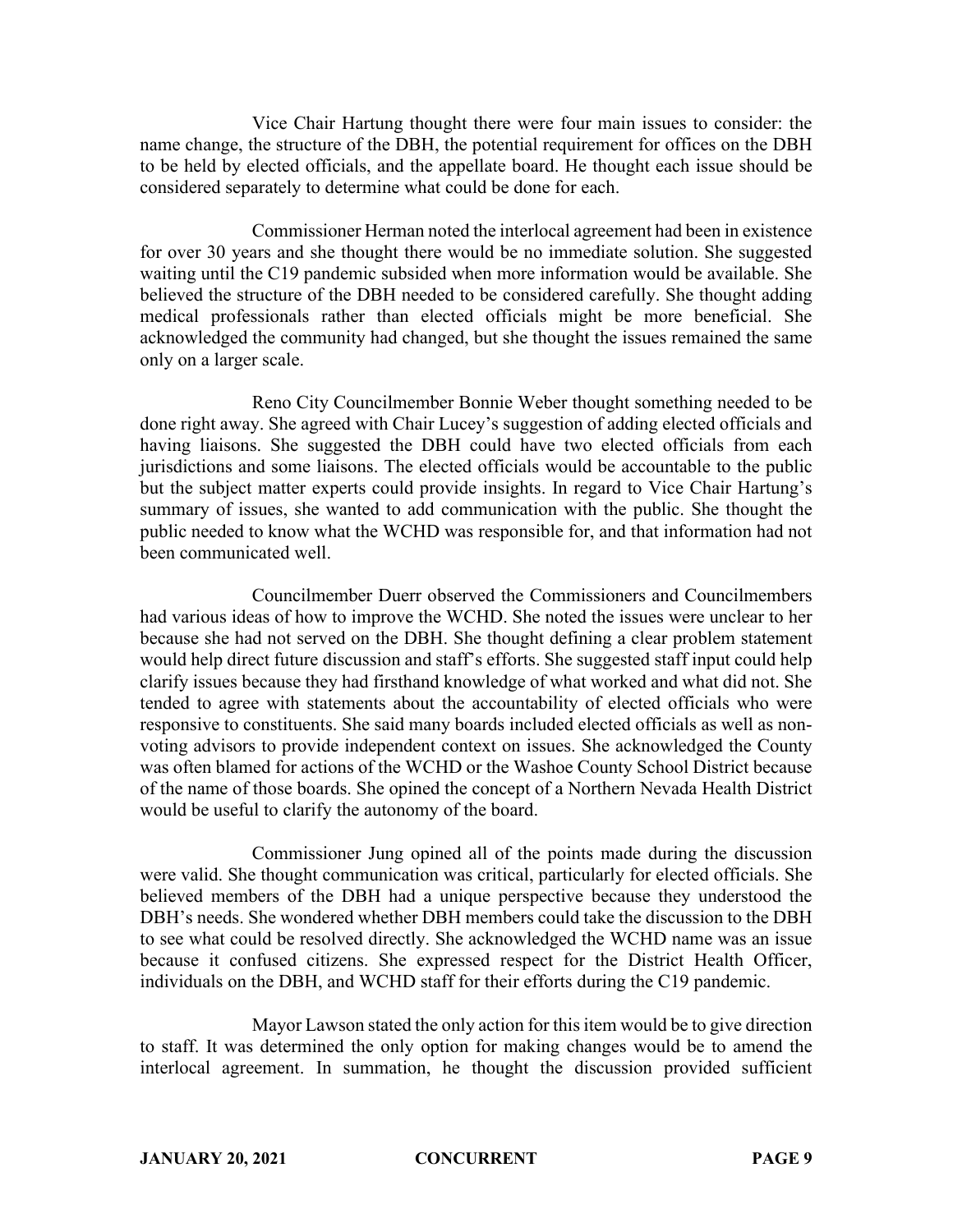Vice Chair Hartung thought there were four main issues to consider: the name change, the structure of the DBH, the potential requirement for offices on the DBH to be held by elected officials, and the appellate board. He thought each issue should be considered separately to determine what could be done for each.

Commissioner Herman noted the interlocal agreement had been in existence for over 30 years and she thought there would be no immediate solution. She suggested waiting until the C19 pandemic subsided when more information would be available. She believed the structure of the DBH needed to be considered carefully. She thought adding medical professionals rather than elected officials might be more beneficial. She acknowledged the community had changed, but she thought the issues remained the same only on a larger scale.

Reno City Councilmember Bonnie Weber thought something needed to be done right away. She agreed with Chair Lucey's suggestion of adding elected officials and having liaisons. She suggested the DBH could have two elected officials from each jurisdictions and some liaisons. The elected officials would be accountable to the public but the subject matter experts could provide insights. In regard to Vice Chair Hartung's summary of issues, she wanted to add communication with the public. She thought the public needed to know what the WCHD was responsible for, and that information had not been communicated well.

Councilmember Duerr observed the Commissioners and Councilmembers had various ideas of how to improve the WCHD. She noted the issues were unclear to her because she had not served on the DBH. She thought defining a clear problem statement would help direct future discussion and staff's efforts. She suggested staff input could help clarify issues because they had firsthand knowledge of what worked and what did not. She tended to agree with statements about the accountability of elected officials who were responsive to constituents. She said many boards included elected officials as well as nonvoting advisors to provide independent context on issues. She acknowledged the County was often blamed for actions of the WCHD or the Washoe County School District because of the name of those boards. She opined the concept of a Northern Nevada Health District would be useful to clarify the autonomy of the board.

Commissioner Jung opined all of the points made during the discussion were valid. She thought communication was critical, particularly for elected officials. She believed members of the DBH had a unique perspective because they understood the DBH's needs. She wondered whether DBH members could take the discussion to the DBH to see what could be resolved directly. She acknowledged the WCHD name was an issue because it confused citizens. She expressed respect for the District Health Officer, individuals on the DBH, and WCHD staff for their efforts during the C19 pandemic.

Mayor Lawson stated the only action for this item would be to give direction to staff. It was determined the only option for making changes would be to amend the interlocal agreement. In summation, he thought the discussion provided sufficient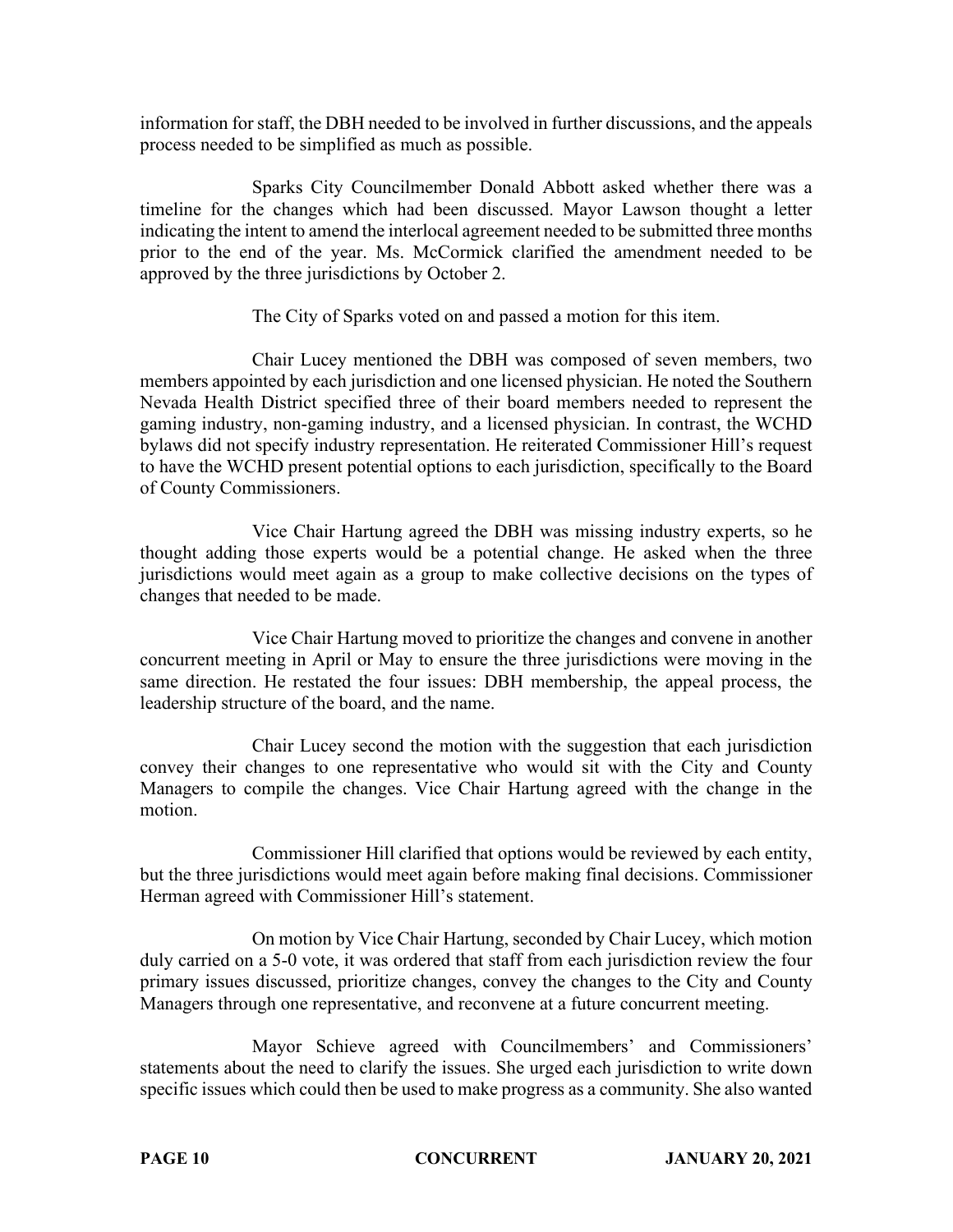information for staff, the DBH needed to be involved in further discussions, and the appeals process needed to be simplified as much as possible.

Sparks City Councilmember Donald Abbott asked whether there was a timeline for the changes which had been discussed. Mayor Lawson thought a letter indicating the intent to amend the interlocal agreement needed to be submitted three months prior to the end of the year. Ms. McCormick clarified the amendment needed to be approved by the three jurisdictions by October 2.

The City of Sparks voted on and passed a motion for this item.

Chair Lucey mentioned the DBH was composed of seven members, two members appointed by each jurisdiction and one licensed physician. He noted the Southern Nevada Health District specified three of their board members needed to represent the gaming industry, non-gaming industry, and a licensed physician. In contrast, the WCHD bylaws did not specify industry representation. He reiterated Commissioner Hill's request to have the WCHD present potential options to each jurisdiction, specifically to the Board of County Commissioners.

Vice Chair Hartung agreed the DBH was missing industry experts, so he thought adding those experts would be a potential change. He asked when the three jurisdictions would meet again as a group to make collective decisions on the types of changes that needed to be made.

Vice Chair Hartung moved to prioritize the changes and convene in another concurrent meeting in April or May to ensure the three jurisdictions were moving in the same direction. He restated the four issues: DBH membership, the appeal process, the leadership structure of the board, and the name.

Chair Lucey second the motion with the suggestion that each jurisdiction convey their changes to one representative who would sit with the City and County Managers to compile the changes. Vice Chair Hartung agreed with the change in the motion.

Commissioner Hill clarified that options would be reviewed by each entity, but the three jurisdictions would meet again before making final decisions. Commissioner Herman agreed with Commissioner Hill's statement.

On motion by Vice Chair Hartung, seconded by Chair Lucey, which motion duly carried on a 5-0 vote, it was ordered that staff from each jurisdiction review the four primary issues discussed, prioritize changes, convey the changes to the City and County Managers through one representative, and reconvene at a future concurrent meeting.

Mayor Schieve agreed with Councilmembers' and Commissioners' statements about the need to clarify the issues. She urged each jurisdiction to write down specific issues which could then be used to make progress as a community. She also wanted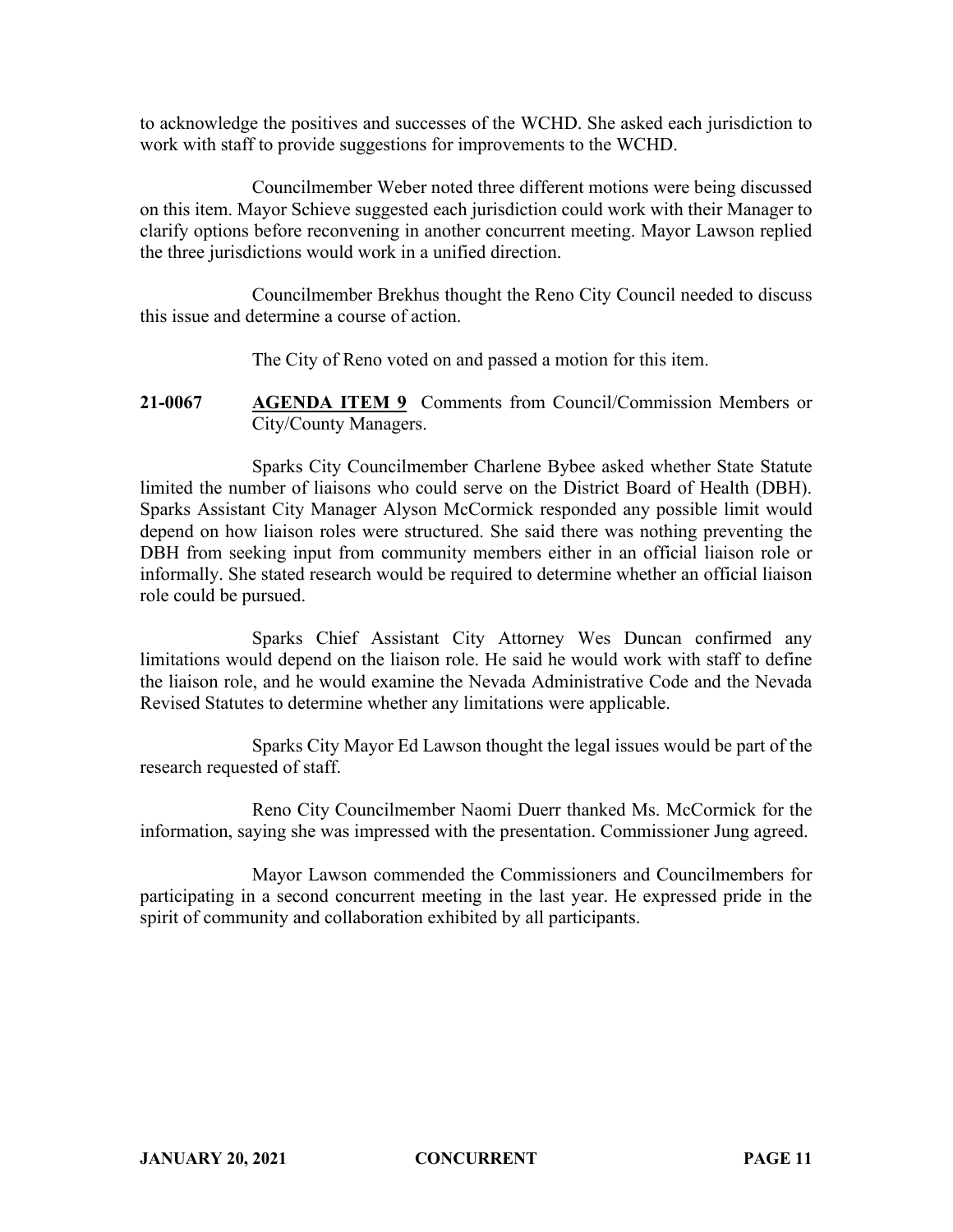to acknowledge the positives and successes of the WCHD. She asked each jurisdiction to work with staff to provide suggestions for improvements to the WCHD.

Councilmember Weber noted three different motions were being discussed on this item. Mayor Schieve suggested each jurisdiction could work with their Manager to clarify options before reconvening in another concurrent meeting. Mayor Lawson replied the three jurisdictions would work in a unified direction.

Councilmember Brekhus thought the Reno City Council needed to discuss this issue and determine a course of action.

The City of Reno voted on and passed a motion for this item.

**21-0067 AGENDA ITEM 9** Comments from Council/Commission Members or City/County Managers.

Sparks City Councilmember Charlene Bybee asked whether State Statute limited the number of liaisons who could serve on the District Board of Health (DBH). Sparks Assistant City Manager Alyson McCormick responded any possible limit would depend on how liaison roles were structured. She said there was nothing preventing the DBH from seeking input from community members either in an official liaison role or informally. She stated research would be required to determine whether an official liaison role could be pursued.

Sparks Chief Assistant City Attorney Wes Duncan confirmed any limitations would depend on the liaison role. He said he would work with staff to define the liaison role, and he would examine the Nevada Administrative Code and the Nevada Revised Statutes to determine whether any limitations were applicable.

Sparks City Mayor Ed Lawson thought the legal issues would be part of the research requested of staff.

Reno City Councilmember Naomi Duerr thanked Ms. McCormick for the information, saying she was impressed with the presentation. Commissioner Jung agreed.

Mayor Lawson commended the Commissioners and Councilmembers for participating in a second concurrent meeting in the last year. He expressed pride in the spirit of community and collaboration exhibited by all participants.